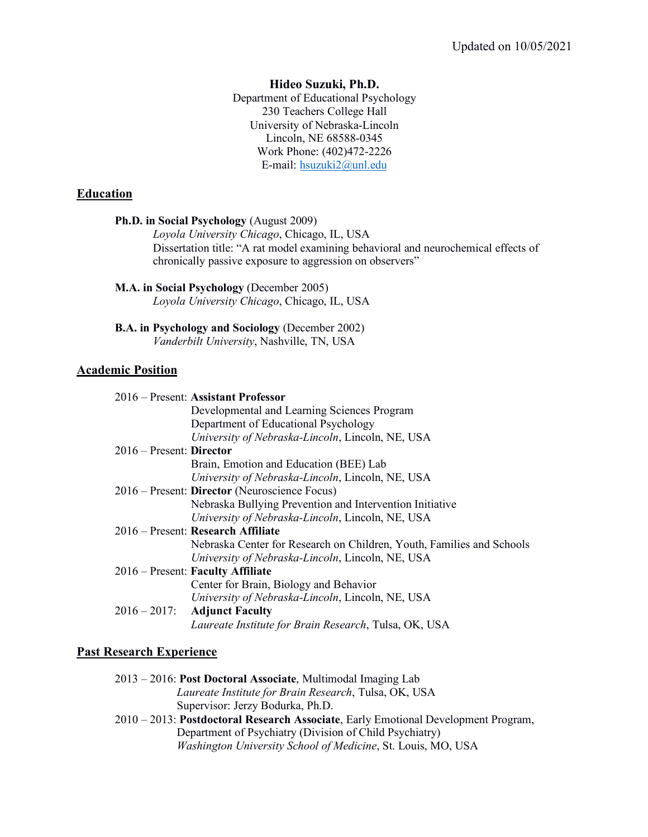### **Hideo Suzuki, Ph.D.**

Department of Educational Psychology 230 Teachers College Hall University of Nebraska-Lincoln Lincoln, NE 68588-0345 Work Phone: (402)472-2226 E-mail: hsuzuki2@unl.edu

### **Education**

|                          | Ph.D. in Social Psychology (August 2009)<br>Loyola University Chicago, Chicago, IL, USA<br>Dissertation title: "A rat model examining behavioral and neurochemical effects of<br>chronically passive exposure to aggression on observers" |
|--------------------------|-------------------------------------------------------------------------------------------------------------------------------------------------------------------------------------------------------------------------------------------|
|                          | M.A. in Social Psychology (December 2005)<br>Loyola University Chicago, Chicago, IL, USA                                                                                                                                                  |
|                          | <b>B.A.</b> in Psychology and Sociology (December 2002)<br>Vanderbilt University, Nashville, TN, USA                                                                                                                                      |
| <b>Academic Position</b> |                                                                                                                                                                                                                                           |
|                          | 2016 – Present: Assistant Professor<br>Developmental and Learning Sciences Program<br>Department of Educational Psychology<br>University of Nebraska-Lincoln, Lincoln, NE, USA                                                            |
| 2016 – Present: Director | Brain, Emotion and Education (BEE) Lab<br>University of Nebraska-Lincoln, Lincoln, NE, USA                                                                                                                                                |
|                          | 2016 – Present: Director (Neuroscience Focus)<br>Nebraska Bullying Prevention and Intervention Initiative<br>University of Nebraska-Lincoln, Lincoln, NE, USA                                                                             |
|                          | 2016 – Present: Research Affiliate<br>Nebraska Center for Research on Children, Youth, Families and Schools<br>University of Nebraska-Lincoln, Lincoln, NE, USA                                                                           |
|                          | 2016 – Present: Faculty Affiliate<br>Center for Brain, Biology and Behavior<br>University of Nebraska-Lincoln, Lincoln, NE, USA                                                                                                           |
| $2016 - 2017$ :          | <b>Adjunct Faculty</b><br>Laureate Institute for Brain Research, Tulsa, OK, USA                                                                                                                                                           |

## **Past Research Experience**

| 2013 – 2016: Post Doctoral Associate, Multimodal Imaging Lab |
|--------------------------------------------------------------|
| <i>Laureate Institute for Brain Research, Tulsa, OK, USA</i> |
| Supervisor: Jerzy Bodurka, Ph.D.                             |

2010 – 2013: **Postdoctoral Research Associate**, Early Emotional Development Program, Department of Psychiatry (Division of Child Psychiatry) *Washington University School of Medicine*, St. Louis, MO, USA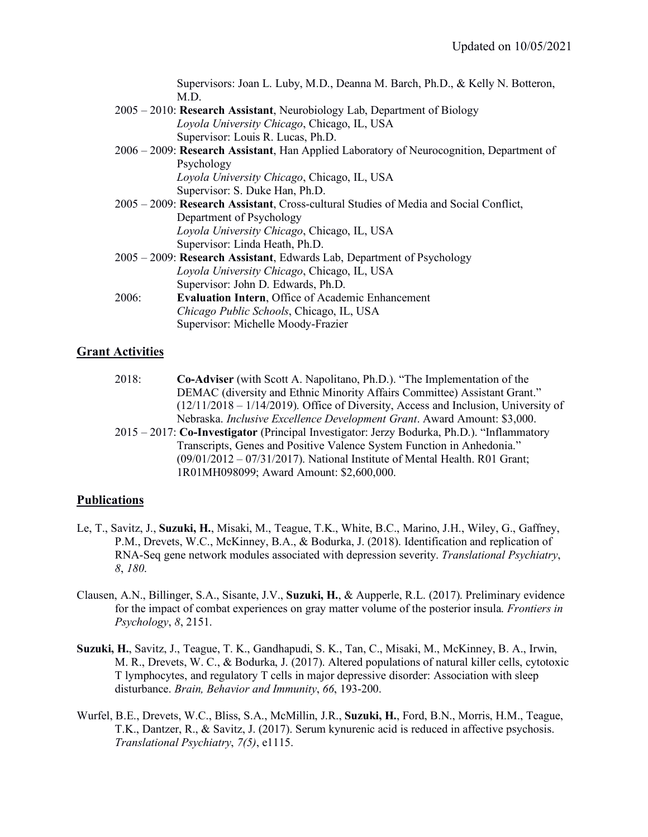Supervisors: Joan L. Luby, M.D., Deanna M. Barch, Ph.D., & Kelly N. Botteron, M.D. 2005 – 2010: **Research Assistant**, Neurobiology Lab, Department of Biology *Loyola University Chicago*, Chicago, IL, USA Supervisor: Louis R. Lucas, Ph.D. 2006 – 2009: **Research Assistant**, Han Applied Laboratory of Neurocognition, Department of Psychology *Loyola University Chicago*, Chicago, IL, USA Supervisor: S. Duke Han, Ph.D. 2005 – 2009: **Research Assistant**, Cross-cultural Studies of Media and Social Conflict, Department of Psychology *Loyola University Chicago*, Chicago, IL, USA Supervisor: Linda Heath, Ph.D. 2005 – 2009: **Research Assistant**, Edwards Lab, Department of Psychology *Loyola University Chicago*, Chicago, IL, USA Supervisor: John D. Edwards, Ph.D. 2006: **Evaluation Intern**, Office of Academic Enhancement *Chicago Public Schools*, Chicago, IL, USA Supervisor: Michelle Moody-Frazier

## **Grant Activities**

- 2018: **Co-Adviser** (with Scott A. Napolitano, Ph.D.). "The Implementation of the DEMAC (diversity and Ethnic Minority Affairs Committee) Assistant Grant." (12/11/2018 – 1/14/2019). Office of Diversity, Access and Inclusion, University of Nebraska. *Inclusive Excellence Development Grant*. Award Amount: \$3,000.
- 2015 2017: **Co-Investigator** (Principal Investigator: Jerzy Bodurka, Ph.D.). "Inflammatory Transcripts, Genes and Positive Valence System Function in Anhedonia." (09/01/2012 – 07/31/2017). National Institute of Mental Health. R01 Grant; 1R01MH098099; Award Amount: \$2,600,000.

## **Publications**

- Le, T., Savitz, J., **Suzuki, H.**, Misaki, M., Teague, T.K., White, B.C., Marino, J.H., Wiley, G., Gaffney, P.M., Drevets, W.C., McKinney, B.A., & Bodurka, J. (2018). Identification and replication of RNA-Seq gene network modules associated with depression severity. *Translational Psychiatry*, *8*, *180*.
- Clausen, A.N., Billinger, S.A., Sisante, J.V., **Suzuki, H.**, & Aupperle, R.L. (2017). Preliminary evidence for the impact of combat experiences on gray matter volume of the posterior insula. *Frontiers in Psychology*, *8*, 2151.
- **Suzuki, H.**, Savitz, J., Teague, T. K., Gandhapudi, S. K., Tan, C., Misaki, M., McKinney, B. A., Irwin, M. R., Drevets, W. C., & Bodurka, J. (2017). Altered populations of natural killer cells, cytotoxic T lymphocytes, and regulatory T cells in major depressive disorder: Association with sleep disturbance. *Brain, Behavior and Immunity*, *66*, 193-200.
- Wurfel, B.E., Drevets, W.C., Bliss, S.A., McMillin, J.R., **Suzuki, H.**, Ford, B.N., Morris, H.M., Teague, T.K., Dantzer, R., & Savitz, J. (2017). Serum kynurenic acid is reduced in affective psychosis. *Translational Psychiatry*, *7(5)*, e1115.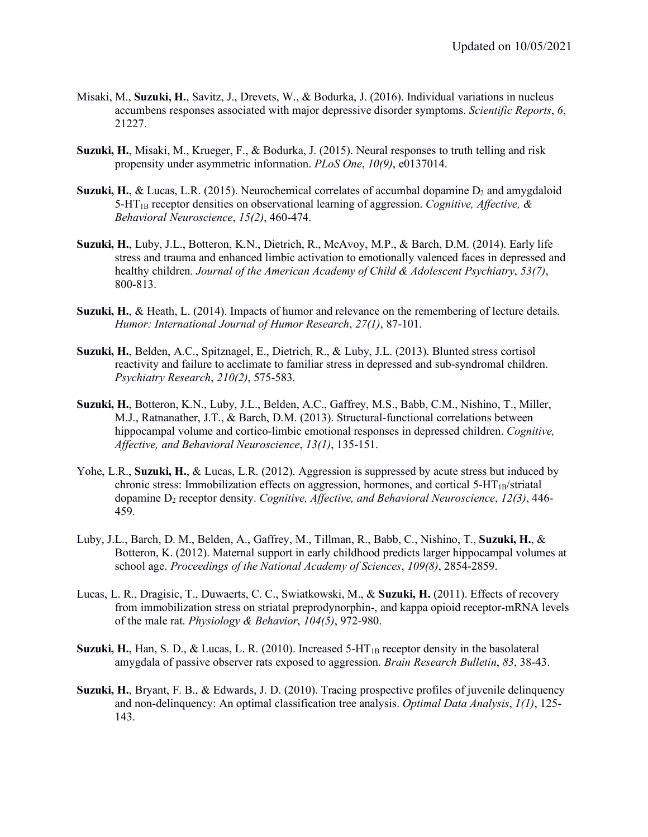- Misaki, M., **Suzuki, H.**, Savitz, J., Drevets, W., & Bodurka, J. (2016). Individual variations in nucleus accumbens responses associated with major depressive disorder symptoms. *Scientific Reports*, *6*, 21227.
- **Suzuki, H.**, Misaki, M., Krueger, F., & Bodurka, J. (2015). Neural responses to truth telling and risk propensity under asymmetric information. *PLoS One*, *10(9)*, e0137014.
- **Suzuki, H.**, & Lucas, L.R. (2015). Neurochemical correlates of accumbal dopamine  $D_2$  and amygdaloid 5-HT1B receptor densities on observational learning of aggression. *Cognitive, Affective, & Behavioral Neuroscience*, *15(2)*, 460-474.
- **Suzuki, H.**, Luby, J.L., Botteron, K.N., Dietrich, R., McAvoy, M.P., & Barch, D.M. (2014). Early life stress and trauma and enhanced limbic activation to emotionally valenced faces in depressed and healthy children. *Journal of the American Academy of Child & Adolescent Psychiatry*, *53(7)*, 800-813.
- **Suzuki, H.**, & Heath, L. (2014). Impacts of humor and relevance on the remembering of lecture details. *Humor: International Journal of Humor Research*, *27(1)*, 87-101.
- **Suzuki, H.**, Belden, A.C., Spitznagel, E., Dietrich, R., & Luby, J.L. (2013). Blunted stress cortisol reactivity and failure to acclimate to familiar stress in depressed and sub-syndromal children. *Psychiatry Research*, *210(2)*, 575-583.
- **Suzuki, H.**, Botteron, K.N., Luby, J.L., Belden, A.C., Gaffrey, M.S., Babb, C.M., Nishino, T., Miller, M.J., Ratnanather, J.T., & Barch, D.M. (2013). Structural-functional correlations between hippocampal volume and cortico-limbic emotional responses in depressed children. *Cognitive, Affective, and Behavioral Neuroscience*, *13(1)*, 135-151.
- Yohe, L.R., **Suzuki, H.**, & Lucas, L.R. (2012). Aggression is suppressed by acute stress but induced by chronic stress: Immobilization effects on aggression, hormones, and cortical  $5-HT_{1B}/stratal$ dopamine D2 receptor density. *Cognitive, Affective, and Behavioral Neuroscience*, *12(3)*, 446- 459.
- Luby, J.L., Barch, D. M., Belden, A., Gaffrey, M., Tillman, R., Babb, C., Nishino, T., **Suzuki, H.**, & Botteron, K. (2012). Maternal support in early childhood predicts larger hippocampal volumes at school age. *Proceedings of the National Academy of Sciences*, *109(8)*, 2854-2859.
- Lucas, L. R., Dragisic, T., Duwaerts, C. C., Swiatkowski, M., & **Suzuki, H.** (2011). Effects of recovery from immobilization stress on striatal preprodynorphin-, and kappa opioid receptor-mRNA levels of the male rat. *Physiology & Behavior*, *104(5)*, 972-980.
- Suzuki, H., Han, S. D., & Lucas, L. R. (2010). Increased 5-HT<sub>1B</sub> receptor density in the basolateral amygdala of passive observer rats exposed to aggression. *Brain Research Bulletin*, *83*, 38-43.
- **Suzuki, H.**, Bryant, F. B., & Edwards, J. D. (2010). Tracing prospective profiles of juvenile delinquency and non-delinquency: An optimal classification tree analysis. *Optimal Data Analysis*, *1(1)*, 125- 143.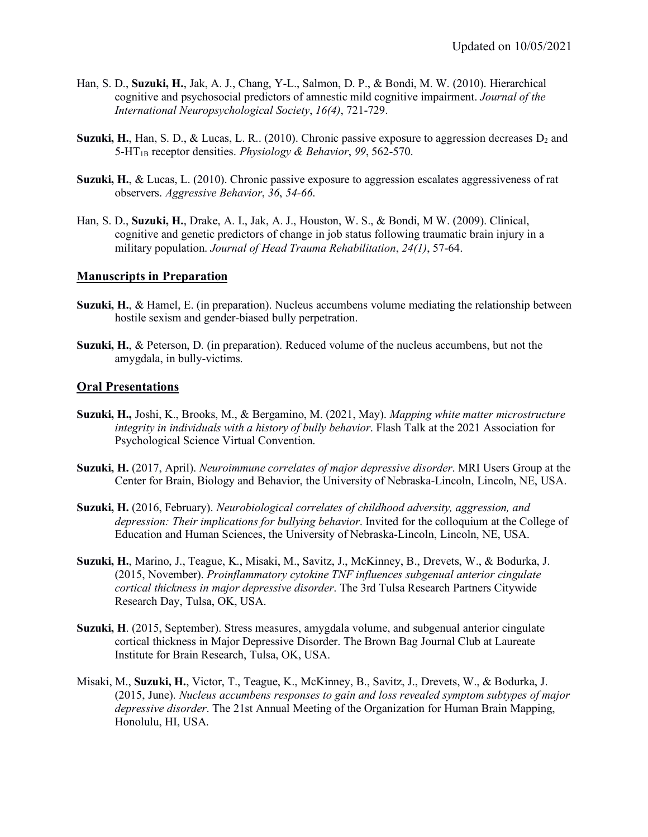- Han, S. D., **Suzuki, H.**, Jak, A. J., Chang, Y-L., Salmon, D. P., & Bondi, M. W. (2010). Hierarchical cognitive and psychosocial predictors of amnestic mild cognitive impairment. *Journal of the International Neuropsychological Society*, *16(4)*, 721-729.
- **Suzuki, H.**, Han, S. D., & Lucas, L. R.. (2010). Chronic passive exposure to aggression decreases  $D_2$  and 5-HT1B receptor densities. *Physiology & Behavior*, *99*, 562-570.
- **Suzuki, H.**, & Lucas, L. (2010). Chronic passive exposure to aggression escalates aggressiveness of rat observers. *Aggressive Behavior*, *36*, *54-66*.
- Han, S. D., **Suzuki, H.**, Drake, A. I., Jak, A. J., Houston, W. S., & Bondi, M W. (2009). Clinical, cognitive and genetic predictors of change in job status following traumatic brain injury in a military population. *Journal of Head Trauma Rehabilitation*, *24(1)*, 57-64.

#### **Manuscripts in Preparation**

- **Suzuki, H.**, & Hamel, E. (in preparation). Nucleus accumbens volume mediating the relationship between hostile sexism and gender-biased bully perpetration.
- **Suzuki, H.**, & Peterson, D. (in preparation). Reduced volume of the nucleus accumbens, but not the amygdala, in bully-victims.

#### **Oral Presentations**

- **Suzuki, H.,** Joshi, K., Brooks, M., & Bergamino, M. (2021, May). *Mapping white matter microstructure integrity in individuals with a history of bully behavior*. Flash Talk at the 2021 Association for Psychological Science Virtual Convention.
- **Suzuki, H.** (2017, April). *Neuroimmune correlates of major depressive disorder*. MRI Users Group at the Center for Brain, Biology and Behavior, the University of Nebraska-Lincoln, Lincoln, NE, USA.
- **Suzuki, H.** (2016, February). *Neurobiological correlates of childhood adversity, aggression, and depression: Their implications for bullying behavior*. Invited for the colloquium at the College of Education and Human Sciences, the University of Nebraska-Lincoln, Lincoln, NE, USA.
- **Suzuki, H.**, Marino, J., Teague, K., Misaki, M., Savitz, J., McKinney, B., Drevets, W., & Bodurka, J. (2015, November). *Proinflammatory cytokine TNF influences subgenual anterior cingulate cortical thickness in major depressive disorder*. The 3rd Tulsa Research Partners Citywide Research Day, Tulsa, OK, USA.
- **Suzuki, H**. (2015, September). Stress measures, amygdala volume, and subgenual anterior cingulate cortical thickness in Major Depressive Disorder. The Brown Bag Journal Club at Laureate Institute for Brain Research, Tulsa, OK, USA.
- Misaki, M., **Suzuki, H.**, Victor, T., Teague, K., McKinney, B., Savitz, J., Drevets, W., & Bodurka, J. (2015, June). *Nucleus accumbens responses to gain and loss revealed symptom subtypes of major depressive disorder*. The 21st Annual Meeting of the Organization for Human Brain Mapping, Honolulu, HI, USA.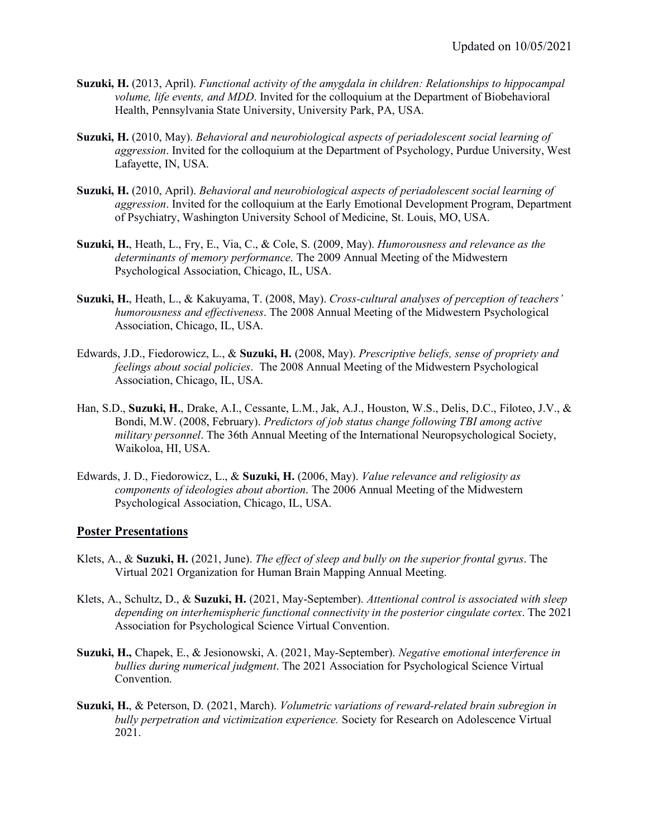- **Suzuki, H.** (2013, April). *Functional activity of the amygdala in children: Relationships to hippocampal volume, life events, and MDD*. Invited for the colloquium at the Department of Biobehavioral Health, Pennsylvania State University, University Park, PA, USA.
- **Suzuki, H.** (2010, May). *Behavioral and neurobiological aspects of periadolescent social learning of aggression*. Invited for the colloquium at the Department of Psychology, Purdue University, West Lafayette, IN, USA.
- **Suzuki, H.** (2010, April). *Behavioral and neurobiological aspects of periadolescent social learning of aggression*. Invited for the colloquium at the Early Emotional Development Program, Department of Psychiatry, Washington University School of Medicine, St. Louis, MO, USA.
- **Suzuki, H.**, Heath, L., Fry, E., Via, C., & Cole, S. (2009, May). *Humorousness and relevance as the determinants of memory performance*. The 2009 Annual Meeting of the Midwestern Psychological Association, Chicago, IL, USA.
- **Suzuki, H.**, Heath, L., & Kakuyama, T. (2008, May). *Cross-cultural analyses of perception of teachers' humorousness and effectiveness*. The 2008 Annual Meeting of the Midwestern Psychological Association, Chicago, IL, USA.
- Edwards, J.D., Fiedorowicz, L., & **Suzuki, H.** (2008, May). *Prescriptive beliefs, sense of propriety and feelings about social policies*. The 2008 Annual Meeting of the Midwestern Psychological Association, Chicago, IL, USA.
- Han, S.D., **Suzuki, H.**, Drake, A.I., Cessante, L.M., Jak, A.J., Houston, W.S., Delis, D.C., Filoteo, J.V., & Bondi, M.W. (2008, February). *Predictors of job status change following TBI among active military personnel*. The 36th Annual Meeting of the International Neuropsychological Society, Waikoloa, HI, USA.
- Edwards, J. D., Fiedorowicz, L., & **Suzuki, H.** (2006, May). *Value relevance and religiosity as components of ideologies about abortion*. The 2006 Annual Meeting of the Midwestern Psychological Association, Chicago, IL, USA.

#### **Poster Presentations**

- Klets, A., & **Suzuki, H.** (2021, June). *The effect of sleep and bully on the superior frontal gyrus*. The Virtual 2021 Organization for Human Brain Mapping Annual Meeting.
- Klets, A., Schultz, D., & **Suzuki, H.** (2021, May-September). *Attentional control is associated with sleep depending on interhemispheric functional connectivity in the posterior cingulate cortex*. The 2021 Association for Psychological Science Virtual Convention.
- **Suzuki, H.,** Chapek, E., & Jesionowski, A. (2021, May-September). *Negative emotional interference in bullies during numerical judgment*. The 2021 Association for Psychological Science Virtual Convention.
- **Suzuki, H.**, & Peterson, D. (2021, March). *Volumetric variations of reward-related brain subregion in bully perpetration and victimization experience.* Society for Research on Adolescence Virtual 2021.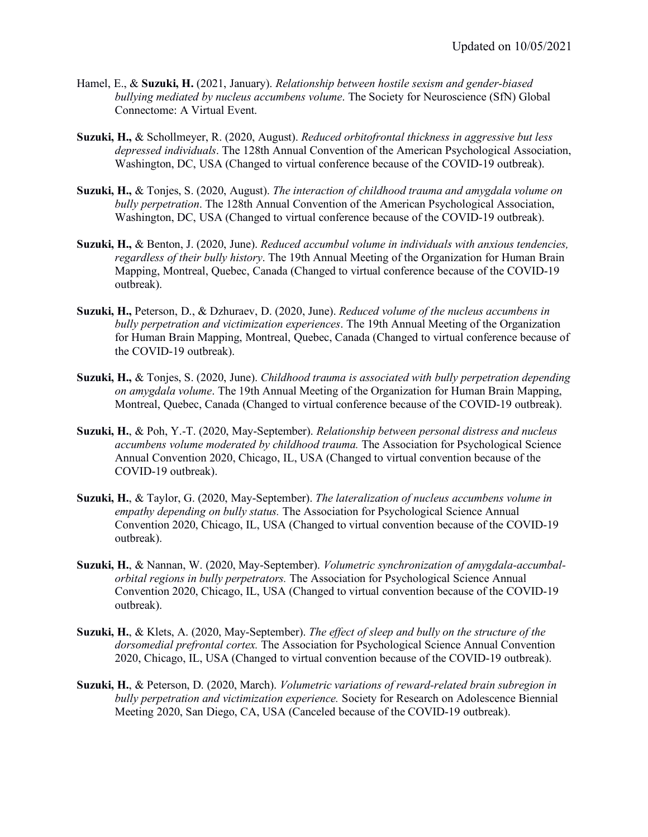- Hamel, E., & **Suzuki, H.** (2021, January). *Relationship between hostile sexism and gender-biased bullying mediated by nucleus accumbens volume*. The Society for Neuroscience (SfN) Global Connectome: A Virtual Event.
- **Suzuki, H.,** & Schollmeyer, R. (2020, August). *Reduced orbitofrontal thickness in aggressive but less depressed individuals*. The 128th Annual Convention of the American Psychological Association, Washington, DC, USA (Changed to virtual conference because of the COVID-19 outbreak).
- **Suzuki, H.,** & Tonjes, S. (2020, August). *The interaction of childhood trauma and amygdala volume on bully perpetration*. The 128th Annual Convention of the American Psychological Association, Washington, DC, USA (Changed to virtual conference because of the COVID-19 outbreak).
- **Suzuki, H.,** & Benton, J. (2020, June). *Reduced accumbul volume in individuals with anxious tendencies, regardless of their bully history*. The 19th Annual Meeting of the Organization for Human Brain Mapping, Montreal, Quebec, Canada (Changed to virtual conference because of the COVID-19 outbreak).
- **Suzuki, H.,** Peterson, D., & Dzhuraev, D. (2020, June). *Reduced volume of the nucleus accumbens in bully perpetration and victimization experiences*. The 19th Annual Meeting of the Organization for Human Brain Mapping, Montreal, Quebec, Canada (Changed to virtual conference because of the COVID-19 outbreak).
- **Suzuki, H.,** & Tonjes, S. (2020, June). *Childhood trauma is associated with bully perpetration depending on amygdala volume*. The 19th Annual Meeting of the Organization for Human Brain Mapping, Montreal, Quebec, Canada (Changed to virtual conference because of the COVID-19 outbreak).
- **Suzuki, H.**, & Poh, Y.-T. (2020, May-September). *Relationship between personal distress and nucleus accumbens volume moderated by childhood trauma.* The Association for Psychological Science Annual Convention 2020, Chicago, IL, USA (Changed to virtual convention because of the COVID-19 outbreak).
- **Suzuki, H.**, & Taylor, G. (2020, May-September). *The lateralization of nucleus accumbens volume in empathy depending on bully status.* The Association for Psychological Science Annual Convention 2020, Chicago, IL, USA (Changed to virtual convention because of the COVID-19 outbreak).
- **Suzuki, H.**, & Nannan, W. (2020, May-September). *Volumetric synchronization of amygdala-accumbalorbital regions in bully perpetrators.* The Association for Psychological Science Annual Convention 2020, Chicago, IL, USA (Changed to virtual convention because of the COVID-19 outbreak).
- **Suzuki, H.**, & Klets, A. (2020, May-September). *The effect of sleep and bully on the structure of the dorsomedial prefrontal cortex.* The Association for Psychological Science Annual Convention 2020, Chicago, IL, USA (Changed to virtual convention because of the COVID-19 outbreak).
- **Suzuki, H.**, & Peterson, D. (2020, March). *Volumetric variations of reward-related brain subregion in bully perpetration and victimization experience.* Society for Research on Adolescence Biennial Meeting 2020, San Diego, CA, USA (Canceled because of the COVID-19 outbreak).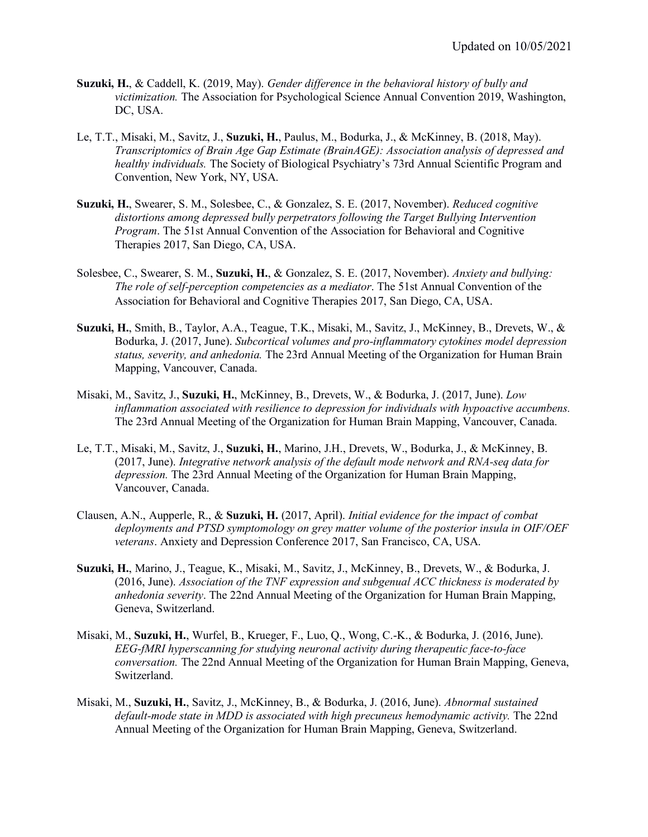- **Suzuki, H.**, & Caddell, K. (2019, May). *Gender difference in the behavioral history of bully and victimization.* The Association for Psychological Science Annual Convention 2019, Washington, DC, USA.
- Le, T.T., Misaki, M., Savitz, J., **Suzuki, H.**, Paulus, M., Bodurka, J., & McKinney, B. (2018, May). *Transcriptomics of Brain Age Gap Estimate (BrainAGE): Association analysis of depressed and healthy individuals.* The Society of Biological Psychiatry's 73rd Annual Scientific Program and Convention, New York, NY, USA.
- **Suzuki, H.**, Swearer, S. M., Solesbee, C., & Gonzalez, S. E. (2017, November). *Reduced cognitive distortions among depressed bully perpetrators following the Target Bullying Intervention Program*. The 51st Annual Convention of the Association for Behavioral and Cognitive Therapies 2017, San Diego, CA, USA.
- Solesbee, C., Swearer, S. M., **Suzuki, H.**, & Gonzalez, S. E. (2017, November). *Anxiety and bullying: The role of self-perception competencies as a mediator*. The 51st Annual Convention of the Association for Behavioral and Cognitive Therapies 2017, San Diego, CA, USA.
- **Suzuki, H.**, Smith, B., Taylor, A.A., Teague, T.K., Misaki, M., Savitz, J., McKinney, B., Drevets, W., & Bodurka, J. (2017, June). *Subcortical volumes and pro-inflammatory cytokines model depression status, severity, and anhedonia.* The 23rd Annual Meeting of the Organization for Human Brain Mapping, Vancouver, Canada.
- Misaki, M., Savitz, J., **Suzuki, H.**, McKinney, B., Drevets, W., & Bodurka, J. (2017, June). *Low inflammation associated with resilience to depression for individuals with hypoactive accumbens.*  The 23rd Annual Meeting of the Organization for Human Brain Mapping, Vancouver, Canada.
- Le, T.T., Misaki, M., Savitz, J., **Suzuki, H.**, Marino, J.H., Drevets, W., Bodurka, J., & McKinney, B. (2017, June). *Integrative network analysis of the default mode network and RNA-seq data for depression.* The 23rd Annual Meeting of the Organization for Human Brain Mapping, Vancouver, Canada.
- Clausen, A.N., Aupperle, R., & **Suzuki, H.** (2017, April). *Initial evidence for the impact of combat deployments and PTSD symptomology on grey matter volume of the posterior insula in OIF/OEF veterans*. Anxiety and Depression Conference 2017, San Francisco, CA, USA.
- **Suzuki, H.**, Marino, J., Teague, K., Misaki, M., Savitz, J., McKinney, B., Drevets, W., & Bodurka, J. (2016, June). *Association of the TNF expression and subgenual ACC thickness is moderated by anhedonia severity*. The 22nd Annual Meeting of the Organization for Human Brain Mapping, Geneva, Switzerland.
- Misaki, M., **Suzuki, H.**, Wurfel, B., Krueger, F., Luo, Q., Wong, C.-K., & Bodurka, J. (2016, June). *EEG-fMRI hyperscanning for studying neuronal activity during therapeutic face-to-face conversation.* The 22nd Annual Meeting of the Organization for Human Brain Mapping, Geneva, Switzerland.
- Misaki, M., **Suzuki, H.**, Savitz, J., McKinney, B., & Bodurka, J. (2016, June). *Abnormal sustained default-mode state in MDD is associated with high precuneus hemodynamic activity.* The 22nd Annual Meeting of the Organization for Human Brain Mapping, Geneva, Switzerland.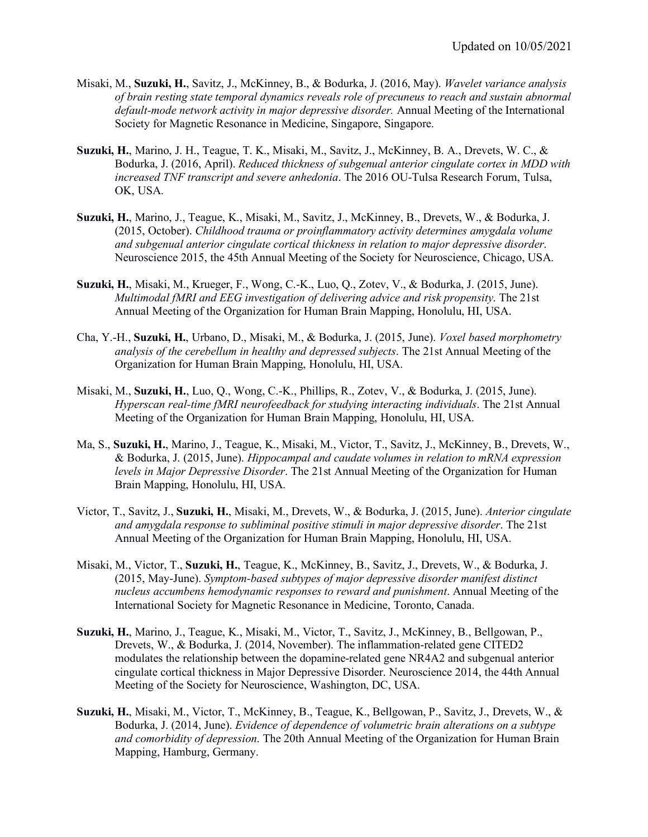- Misaki, M., **Suzuki, H.**, Savitz, J., McKinney, B., & Bodurka, J. (2016, May). *Wavelet variance analysis of brain resting state temporal dynamics reveals role of precuneus to reach and sustain abnormal default-mode network activity in major depressive disorder.* Annual Meeting of the International Society for Magnetic Resonance in Medicine, Singapore, Singapore.
- **Suzuki, H.**, Marino, J. H., Teague, T. K., Misaki, M., Savitz, J., McKinney, B. A., Drevets, W. C., & Bodurka, J. (2016, April). *Reduced thickness of subgenual anterior cingulate cortex in MDD with increased TNF transcript and severe anhedonia*. The 2016 OU-Tulsa Research Forum, Tulsa, OK, USA.
- **Suzuki, H.**, Marino, J., Teague, K., Misaki, M., Savitz, J., McKinney, B., Drevets, W., & Bodurka, J. (2015, October). *Childhood trauma or proinflammatory activity determines amygdala volume and subgenual anterior cingulate cortical thickness in relation to major depressive disorder*. Neuroscience 2015, the 45th Annual Meeting of the Society for Neuroscience, Chicago, USA.
- **Suzuki, H.**, Misaki, M., Krueger, F., Wong, C.-K., Luo, Q., Zotev, V., & Bodurka, J. (2015, June). *Multimodal fMRI and EEG investigation of delivering advice and risk propensity*. The 21st Annual Meeting of the Organization for Human Brain Mapping, Honolulu, HI, USA.
- Cha, Y.-H., **Suzuki, H.**, Urbano, D., Misaki, M., & Bodurka, J. (2015, June). *Voxel based morphometry analysis of the cerebellum in healthy and depressed subjects*. The 21st Annual Meeting of the Organization for Human Brain Mapping, Honolulu, HI, USA.
- Misaki, M., **Suzuki, H.**, Luo, Q., Wong, C.-K., Phillips, R., Zotev, V., & Bodurka, J. (2015, June). *Hyperscan real-time fMRI neurofeedback for studying interacting individuals*. The 21st Annual Meeting of the Organization for Human Brain Mapping, Honolulu, HI, USA.
- Ma, S., **Suzuki, H.**, Marino, J., Teague, K., Misaki, M., Victor, T., Savitz, J., McKinney, B., Drevets, W., & Bodurka, J. (2015, June). *Hippocampal and caudate volumes in relation to mRNA expression levels in Major Depressive Disorder*. The 21st Annual Meeting of the Organization for Human Brain Mapping, Honolulu, HI, USA.
- Victor, T., Savitz, J., **Suzuki, H.**, Misaki, M., Drevets, W., & Bodurka, J. (2015, June). *Anterior cingulate and amygdala response to subliminal positive stimuli in major depressive disorder*. The 21st Annual Meeting of the Organization for Human Brain Mapping, Honolulu, HI, USA.
- Misaki, M., Victor, T., **Suzuki, H.**, Teague, K., McKinney, B., Savitz, J., Drevets, W., & Bodurka, J. (2015, May-June). *Symptom-based subtypes of major depressive disorder manifest distinct nucleus accumbens hemodynamic responses to reward and punishment*. Annual Meeting of the International Society for Magnetic Resonance in Medicine, Toronto, Canada.
- **Suzuki, H.**, Marino, J., Teague, K., Misaki, M., Victor, T., Savitz, J., McKinney, B., Bellgowan, P., Drevets, W., & Bodurka, J. (2014, November). The inflammation-related gene CITED2 modulates the relationship between the dopamine-related gene NR4A2 and subgenual anterior cingulate cortical thickness in Major Depressive Disorder. Neuroscience 2014, the 44th Annual Meeting of the Society for Neuroscience, Washington, DC, USA.
- **Suzuki, H.**, Misaki, M., Victor, T., McKinney, B., Teague, K., Bellgowan, P., Savitz, J., Drevets, W., & Bodurka, J. (2014, June). *Evidence of dependence of volumetric brain alterations on a subtype and comorbidity of depression*. The 20th Annual Meeting of the Organization for Human Brain Mapping, Hamburg, Germany.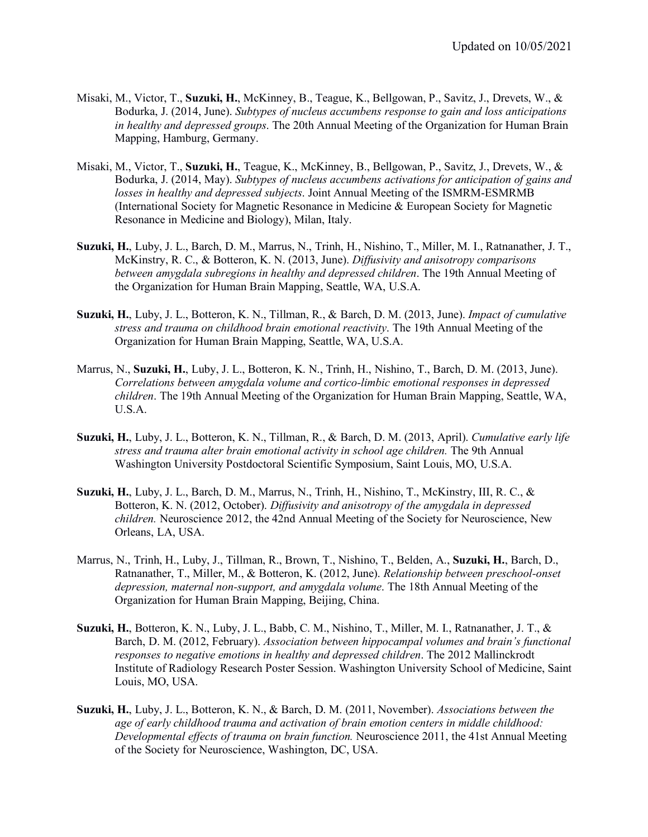- Misaki, M., Victor, T., **Suzuki, H.**, McKinney, B., Teague, K., Bellgowan, P., Savitz, J., Drevets, W., & Bodurka, J. (2014, June). *Subtypes of nucleus accumbens response to gain and loss anticipations in healthy and depressed groups*. The 20th Annual Meeting of the Organization for Human Brain Mapping, Hamburg, Germany.
- Misaki, M., Victor, T., **Suzuki, H.**, Teague, K., McKinney, B., Bellgowan, P., Savitz, J., Drevets, W., & Bodurka, J. (2014, May). *Subtypes of nucleus accumbens activations for anticipation of gains and losses in healthy and depressed subjects*. Joint Annual Meeting of the ISMRM-ESMRMB (International Society for Magnetic Resonance in Medicine & European Society for Magnetic Resonance in Medicine and Biology), Milan, Italy.
- **Suzuki, H.**, Luby, J. L., Barch, D. M., Marrus, N., Trinh, H., Nishino, T., Miller, M. I., Ratnanather, J. T., McKinstry, R. C., & Botteron, K. N. (2013, June). *Diffusivity and anisotropy comparisons between amygdala subregions in healthy and depressed children*. The 19th Annual Meeting of the Organization for Human Brain Mapping, Seattle, WA, U.S.A.
- **Suzuki, H.**, Luby, J. L., Botteron, K. N., Tillman, R., & Barch, D. M. (2013, June). *Impact of cumulative stress and trauma on childhood brain emotional reactivity*. The 19th Annual Meeting of the Organization for Human Brain Mapping, Seattle, WA, U.S.A.
- Marrus, N., **Suzuki, H.**, Luby, J. L., Botteron, K. N., Trinh, H., Nishino, T., Barch, D. M. (2013, June). *Correlations between amygdala volume and cortico-limbic emotional responses in depressed children*. The 19th Annual Meeting of the Organization for Human Brain Mapping, Seattle, WA, U.S.A.
- **Suzuki, H.**, Luby, J. L., Botteron, K. N., Tillman, R., & Barch, D. M. (2013, April). *Cumulative early life stress and trauma alter brain emotional activity in school age children.* The 9th Annual Washington University Postdoctoral Scientific Symposium, Saint Louis, MO, U.S.A.
- **Suzuki, H.**, Luby, J. L., Barch, D. M., Marrus, N., Trinh, H., Nishino, T., McKinstry, III, R. C., & Botteron, K. N. (2012, October). *Diffusivity and anisotropy of the amygdala in depressed children.* Neuroscience 2012, the 42nd Annual Meeting of the Society for Neuroscience, New Orleans, LA, USA.
- Marrus, N., Trinh, H., Luby, J., Tillman, R., Brown, T., Nishino, T., Belden, A., **Suzuki, H.**, Barch, D., Ratnanather, T., Miller, M., & Botteron, K. (2012, June). *Relationship between preschool-onset depression, maternal non-support, and amygdala volume*. The 18th Annual Meeting of the Organization for Human Brain Mapping, Beijing, China.
- **Suzuki, H.**, Botteron, K. N., Luby, J. L., Babb, C. M., Nishino, T., Miller, M. I., Ratnanather, J. T., & Barch, D. M. (2012, February). *Association between hippocampal volumes and brain's functional responses to negative emotions in healthy and depressed children*. The 2012 Mallinckrodt Institute of Radiology Research Poster Session. Washington University School of Medicine, Saint Louis, MO, USA.
- **Suzuki, H.**, Luby, J. L., Botteron, K. N., & Barch, D. M. (2011, November). *Associations between the age of early childhood trauma and activation of brain emotion centers in middle childhood: Developmental effects of trauma on brain function.* Neuroscience 2011, the 41st Annual Meeting of the Society for Neuroscience, Washington, DC, USA.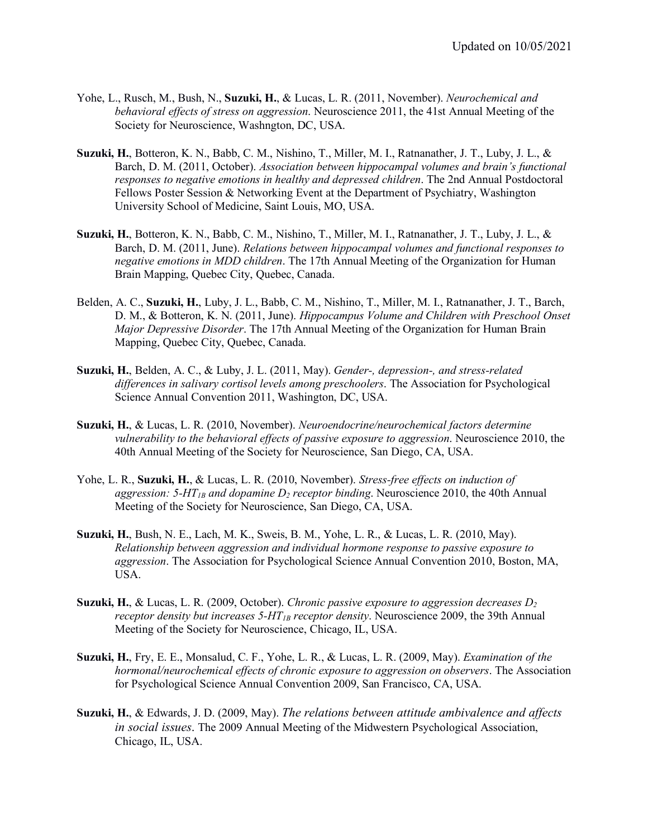- Yohe, L., Rusch, M., Bush, N., **Suzuki, H.**, & Lucas, L. R. (2011, November). *Neurochemical and behavioral effects of stress on aggression*. Neuroscience 2011, the 41st Annual Meeting of the Society for Neuroscience, Washngton, DC, USA.
- **Suzuki, H.**, Botteron, K. N., Babb, C. M., Nishino, T., Miller, M. I., Ratnanather, J. T., Luby, J. L., & Barch, D. M. (2011, October). *Association between hippocampal volumes and brain's functional responses to negative emotions in healthy and depressed children*. The 2nd Annual Postdoctoral Fellows Poster Session & Networking Event at the Department of Psychiatry, Washington University School of Medicine, Saint Louis, MO, USA.
- **Suzuki, H.**, Botteron, K. N., Babb, C. M., Nishino, T., Miller, M. I., Ratnanather, J. T., Luby, J. L., & Barch, D. M. (2011, June). *Relations between hippocampal volumes and functional responses to negative emotions in MDD children*. The 17th Annual Meeting of the Organization for Human Brain Mapping, Quebec City, Quebec, Canada.
- Belden, A. C., **Suzuki, H.**, Luby, J. L., Babb, C. M., Nishino, T., Miller, M. I., Ratnanather, J. T., Barch, D. M., & Botteron, K. N. (2011, June). *Hippocampus Volume and Children with Preschool Onset Major Depressive Disorder*. The 17th Annual Meeting of the Organization for Human Brain Mapping, Quebec City, Quebec, Canada.
- **Suzuki, H.**, Belden, A. C., & Luby, J. L. (2011, May). *Gender-, depression-, and stress-related differences in salivary cortisol levels among preschoolers*. The Association for Psychological Science Annual Convention 2011, Washington, DC, USA.
- **Suzuki, H.**, & Lucas, L. R. (2010, November). *Neuroendocrine/neurochemical factors determine vulnerability to the behavioral effects of passive exposure to aggression*. Neuroscience 2010, the 40th Annual Meeting of the Society for Neuroscience, San Diego, CA, USA.
- Yohe, L. R., **Suzuki, H.**, & Lucas, L. R. (2010, November). *Stress-free effects on induction of aggression: 5-HT<sub>1B</sub> and dopamine*  $D_2$  *receptor binding.* Neuroscience 2010, the 40th Annual Meeting of the Society for Neuroscience, San Diego, CA, USA.
- **Suzuki, H.**, Bush, N. E., Lach, M. K., Sweis, B. M., Yohe, L. R., & Lucas, L. R. (2010, May). *Relationship between aggression and individual hormone response to passive exposure to aggression*. The Association for Psychological Science Annual Convention 2010, Boston, MA, USA.
- **Suzuki, H.**, & Lucas, L. R. (2009, October). *Chronic passive exposure to aggression decreases D2 receptor density but increases 5-HT<sub>1B</sub> receptor density.* Neuroscience 2009, the 39th Annual Meeting of the Society for Neuroscience, Chicago, IL, USA.
- **Suzuki, H.**, Fry, E. E., Monsalud, C. F., Yohe, L. R., & Lucas, L. R. (2009, May). *Examination of the hormonal/neurochemical effects of chronic exposure to aggression on observers*. The Association for Psychological Science Annual Convention 2009, San Francisco, CA, USA.
- **Suzuki, H.**, & Edwards, J. D. (2009, May). *The relations between attitude ambivalence and affects in social issues*. The 2009 Annual Meeting of the Midwestern Psychological Association, Chicago, IL, USA.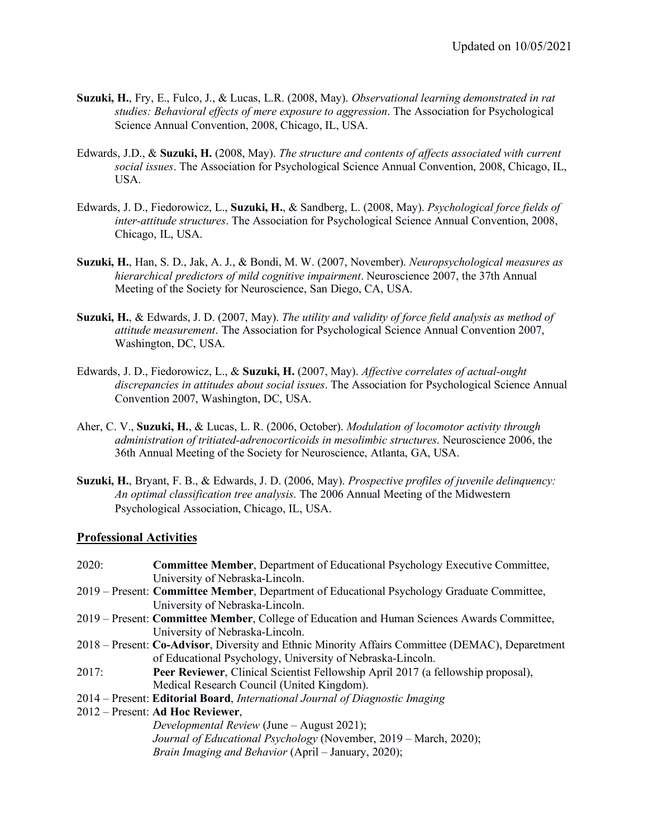- **Suzuki, H.**, Fry, E., Fulco, J., & Lucas, L.R. (2008, May). *Observational learning demonstrated in rat studies: Behavioral effects of mere exposure to aggression*. The Association for Psychological Science Annual Convention, 2008, Chicago, IL, USA.
- Edwards, J.D., & **Suzuki, H.** (2008, May). *The structure and contents of affects associated with current social issues*. The Association for Psychological Science Annual Convention, 2008, Chicago, IL, USA.
- Edwards, J. D., Fiedorowicz, L., **Suzuki, H.**, & Sandberg, L. (2008, May). *Psychological force fields of inter-attitude structures*. The Association for Psychological Science Annual Convention, 2008, Chicago, IL, USA.
- **Suzuki, H.**, Han, S. D., Jak, A. J., & Bondi, M. W. (2007, November). *Neuropsychological measures as hierarchical predictors of mild cognitive impairment*. Neuroscience 2007, the 37th Annual Meeting of the Society for Neuroscience, San Diego, CA, USA.
- **Suzuki, H.**, & Edwards, J. D. (2007, May). *The utility and validity of force field analysis as method of attitude measurement*. The Association for Psychological Science Annual Convention 2007, Washington, DC, USA.
- Edwards, J. D., Fiedorowicz, L., & **Suzuki, H.** (2007, May). *Affective correlates of actual-ought discrepancies in attitudes about social issues*. The Association for Psychological Science Annual Convention 2007, Washington, DC, USA.
- Aher, C. V., **Suzuki, H.**, & Lucas, L. R. (2006, October). *Modulation of locomotor activity through administration of tritiated-adrenocorticoids in mesolimbic structures*. Neuroscience 2006, the 36th Annual Meeting of the Society for Neuroscience, Atlanta, GA, USA.
- **Suzuki, H.**, Bryant, F. B., & Edwards, J. D. (2006, May). *Prospective profiles of juvenile delinquency: An optimal classification tree analysis*. The 2006 Annual Meeting of the Midwestern Psychological Association, Chicago, IL, USA.

#### **Professional Activities**

| 2020: | Committee Member, Department of Educational Psychology Executive Committee,                      |
|-------|--------------------------------------------------------------------------------------------------|
|       | University of Nebraska-Lincoln.                                                                  |
|       | 2019 – Present: Committee Member, Department of Educational Psychology Graduate Committee,       |
|       | University of Nebraska-Lincoln.                                                                  |
|       | 2019 – Present: Committee Member, College of Education and Human Sciences Awards Committee,      |
|       | University of Nebraska-Lincoln.                                                                  |
|       | 2018 – Present: Co-Advisor, Diversity and Ethnic Minority Affairs Committee (DEMAC), Deparetment |
|       | of Educational Psychology, University of Nebraska-Lincoln.                                       |
| 2017: | Peer Reviewer, Clinical Scientist Fellowship April 2017 (a fellowship proposal),                 |
|       | Medical Research Council (United Kingdom).                                                       |
|       | 2014 – Present: Editorial Board, International Journal of Diagnostic Imaging                     |
|       | 2012 – Present: Ad Hoc Reviewer,                                                                 |
|       | Developmental Review (June – August 2021);                                                       |
|       | Journal of Educational Psychology (November, 2019 – March, 2020);                                |
|       | <i>Brain Imaging and Behavior</i> (April – January, 2020);                                       |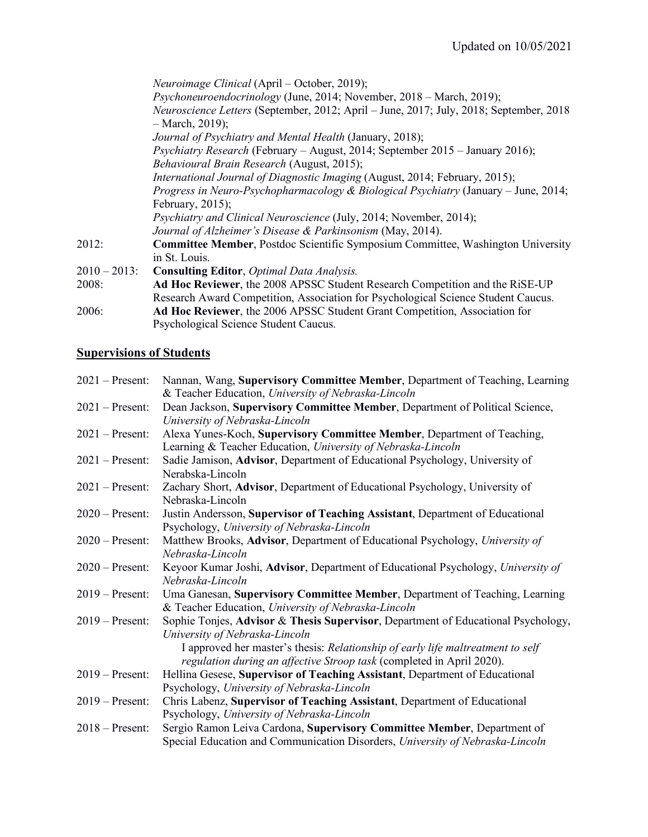|                 | <i>Neuroimage Clinical</i> (April – October, 2019);                                           |
|-----------------|-----------------------------------------------------------------------------------------------|
|                 | Psychoneuroendocrinology (June, 2014; November, 2018 – March, 2019);                          |
|                 | <i>Neuroscience Letters</i> (September, 2012; April – June, 2017; July, 2018; September, 2018 |
|                 | $-$ March, 2019);                                                                             |
|                 | Journal of Psychiatry and Mental Health (January, 2018);                                      |
|                 | Psychiatry Research (February – August, 2014; September 2015 – January 2016);                 |
|                 | Behavioural Brain Research (August, 2015);                                                    |
|                 | International Journal of Diagnostic Imaging (August, 2014; February, 2015);                   |
|                 | Progress in Neuro-Psychopharmacology & Biological Psychiatry (January – June, 2014;           |
|                 | February, $2015$ );                                                                           |
|                 | <i>Psychiatry and Clinical Neuroscience</i> (July, 2014; November, 2014);                     |
|                 | Journal of Alzheimer's Disease & Parkinsonism (May, 2014).                                    |
| 2012:           | <b>Committee Member, Postdoc Scientific Symposium Committee, Washington University</b>        |
|                 | in St. Louis.                                                                                 |
| $2010 - 2013$ : | <b>Consulting Editor, Optimal Data Analysis.</b>                                              |
| 2008:           | Ad Hoc Reviewer, the 2008 APSSC Student Research Competition and the RiSE-UP                  |
|                 | Research Award Competition, Association for Psychological Science Student Caucus.             |
| 2006:           | Ad Hoc Reviewer, the 2006 APSSC Student Grant Competition, Association for                    |
|                 | Psychological Science Student Caucus.                                                         |

# **Supervisions of Students**

| $2021$ – Present: | Nannan, Wang, Supervisory Committee Member, Department of Teaching, Learning      |
|-------------------|-----------------------------------------------------------------------------------|
|                   | & Teacher Education, University of Nebraska-Lincoln                               |
| $2021$ – Present: | Dean Jackson, Supervisory Committee Member, Department of Political Science,      |
|                   | University of Nebraska-Lincoln                                                    |
| $2021$ – Present: | Alexa Yunes-Koch, Supervisory Committee Member, Department of Teaching,           |
|                   | Learning & Teacher Education, University of Nebraska-Lincoln                      |
| $2021$ – Present: | Sadie Jamison, Advisor, Department of Educational Psychology, University of       |
|                   | Nerabska-Lincoln                                                                  |
| $2021$ – Present: | Zachary Short, Advisor, Department of Educational Psychology, University of       |
|                   | Nebraska-Lincoln                                                                  |
| $2020$ – Present: | Justin Andersson, Supervisor of Teaching Assistant, Department of Educational     |
|                   | Psychology, University of Nebraska-Lincoln                                        |
| $2020$ – Present: | Matthew Brooks, Advisor, Department of Educational Psychology, University of      |
|                   | Nebraska-Lincoln                                                                  |
| $2020$ – Present: | Keyoor Kumar Joshi, Advisor, Department of Educational Psychology, University of  |
|                   | Nebraska-Lincoln                                                                  |
| $2019$ – Present: | Uma Ganesan, Supervisory Committee Member, Department of Teaching, Learning       |
|                   | & Teacher Education, University of Nebraska-Lincoln                               |
| $2019 -$ Present: | Sophie Tonjes, Advisor & Thesis Supervisor, Department of Educational Psychology, |
|                   | University of Nebraska-Lincoln                                                    |
|                   | I approved her master's thesis: Relationship of early life maltreatment to self   |
|                   | regulation during an affective Stroop task (completed in April 2020).             |
| $2019$ – Present: | Hellina Gesese, Supervisor of Teaching Assistant, Department of Educational       |
|                   | Psychology, University of Nebraska-Lincoln                                        |
| $2019$ – Present: | Chris Labenz, Supervisor of Teaching Assistant, Department of Educational         |
|                   | Psychology, University of Nebraska-Lincoln                                        |
| $2018$ – Present: | Sergio Ramon Leiva Cardona, Supervisory Committee Member, Department of           |
|                   | Special Education and Communication Disorders, University of Nebraska-Lincoln     |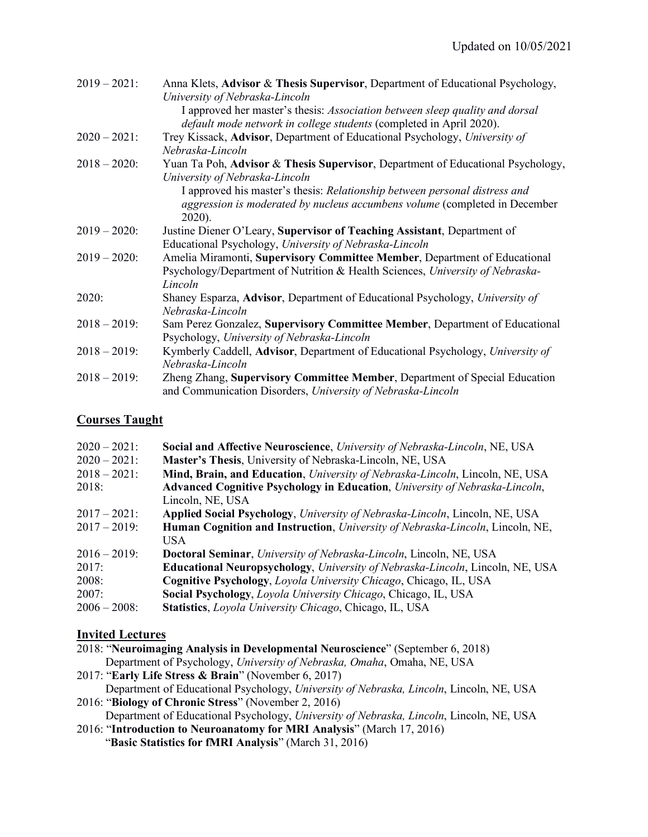| $2019 - 2021$ : | Anna Klets, Advisor & Thesis Supervisor, Department of Educational Psychology,<br>University of Nebraska-Lincoln                                    |
|-----------------|-----------------------------------------------------------------------------------------------------------------------------------------------------|
|                 | I approved her master's thesis: Association between sleep quality and dorsal<br>default mode network in college students (completed in April 2020). |
| $2020 - 2021$ : | Trey Kissack, Advisor, Department of Educational Psychology, University of                                                                          |
|                 | Nebraska-Lincoln                                                                                                                                    |
| $2018 - 2020$ : | Yuan Ta Poh, Advisor & Thesis Supervisor, Department of Educational Psychology,<br>University of Nebraska-Lincoln                                   |
|                 | I approved his master's thesis: Relationship between personal distress and                                                                          |
|                 | aggression is moderated by nucleus accumbens volume (completed in December                                                                          |
|                 | $2020$ ).                                                                                                                                           |
| $2019 - 2020$ : | Justine Diener O'Leary, Supervisor of Teaching Assistant, Department of                                                                             |
|                 | Educational Psychology, University of Nebraska-Lincoln                                                                                              |
| $2019 - 2020$ : | Amelia Miramonti, Supervisory Committee Member, Department of Educational                                                                           |
|                 | Psychology/Department of Nutrition & Health Sciences, University of Nebraska-                                                                       |
|                 | Lincoln                                                                                                                                             |
| 2020:           | Shaney Esparza, Advisor, Department of Educational Psychology, University of                                                                        |
|                 | Nebraska-Lincoln                                                                                                                                    |
| $2018 - 2019$ : | Sam Perez Gonzalez, Supervisory Committee Member, Department of Educational                                                                         |
|                 | Psychology, University of Nebraska-Lincoln                                                                                                          |
| $2018 - 2019$ : | Kymberly Caddell, Advisor, Department of Educational Psychology, University of                                                                      |
|                 | Nebraska-Lincoln                                                                                                                                    |
| $2018 - 2019$ : | Zheng Zhang, Supervisory Committee Member, Department of Special Education<br>and Communication Disorders, University of Nebraska-Lincoln           |
|                 |                                                                                                                                                     |

### **Courses Taught**

| $2020 - 2021$ : | Social and Affective Neuroscience, University of Nebraska-Lincoln, NE, USA                    |
|-----------------|-----------------------------------------------------------------------------------------------|
| $2020 - 2021$ : | Master's Thesis, University of Nebraska-Lincoln, NE, USA                                      |
| $2018 - 2021$ : | Mind, Brain, and Education, University of Nebraska-Lincoln, Lincoln, NE, USA                  |
| 2018:           | Advanced Cognitive Psychology in Education, University of Nebraska-Lincoln,                   |
|                 | Lincoln, NE, USA                                                                              |
| $2017 - 2021$ : | Applied Social Psychology, University of Nebraska-Lincoln, Lincoln, NE, USA                   |
| $2017 - 2019$ : | Human Cognition and Instruction, University of Nebraska-Lincoln, Lincoln, NE,                 |
|                 | USA.                                                                                          |
| $2016 - 2019$ : | <b>Doctoral Seminar, University of Nebraska-Lincoln, Lincoln, NE, USA</b>                     |
| 2017:           | <b>Educational Neuropsychology</b> , <i>University of Nebraska-Lincoln</i> , Lincoln, NE, USA |
| 2008:           | Cognitive Psychology, Loyola University Chicago, Chicago, IL, USA                             |
| 2007:           | Social Psychology, Loyola University Chicago, Chicago, IL, USA                                |
| $2006 - 2008$ : | <b>Statistics</b> , <i>Loyola University Chicago</i> , Chicago, IL, USA                       |

## **Invited Lectures**

- 2018: "**Neuroimaging Analysis in Developmental Neuroscience**" (September 6, 2018) Department of Psychology, *University of Nebraska, Omaha*, Omaha, NE, USA 2017: "**Early Life Stress & Brain**" (November 6, 2017) Department of Educational Psychology, *University of Nebraska, Lincoln*, Lincoln, NE, USA
- 2016: "**Biology of Chronic Stress**" (November 2, 2016) Department of Educational Psychology, *University of Nebraska, Lincoln*, Lincoln, NE, USA
- 2016: "**Introduction to Neuroanatomy for MRI Analysis**" (March 17, 2016) "**Basic Statistics for fMRI Analysis**" (March 31, 2016)